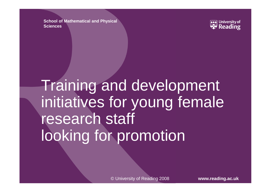**School of Mathematical and Physical Sciences**



Training and development initiatives for young female research staff looking for promotion

© University of Reading 2008 **www.reading.ac.uk**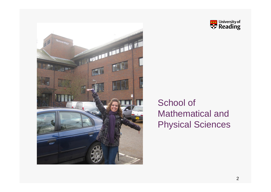



#### School of Mathematical and Physical Sciences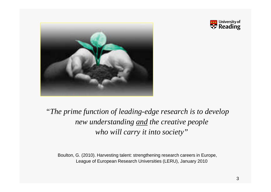



#### *"The prime function of leading-edge research is to develop new understanding and the creative people who will carry it into society"*

Boulton, G. (2010). Harvesting talent: strengthening research careers in Europe, League of European Research Universities (LERU), January 2010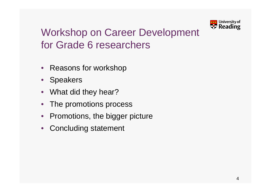

#### Workshop on Career Development for Grade 6 researchers

- Reasons for workshop
- Speakers
- What did they hear?
- The promotions process
- Promotions, the bigger picture
- Concluding statement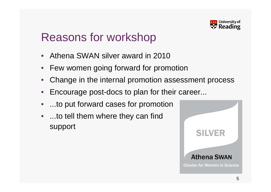

### Reasons for workshop

- Athena SWAN silver award in 2010
- Few women going forward for promotion
- Change in the internal promotion assessment process
- Encourage post-docs to plan for their career...
- ...to put forward cases for promotion
- ...to tell them where they can find support

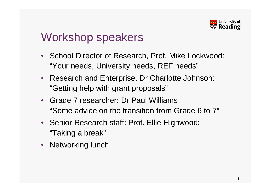

### Workshop speakers

- School Director of Research, Prof. Mike Lockwood: "Your needs, University needs, REF needs"
- Research and Enterprise, Dr Charlotte Johnson: "Getting help with grant proposals"
- Grade 7 researcher: Dr Paul Williams "Some advice on the transition from Grade 6 to 7"
- Senior Research staff: Prof. Ellie Highwood: "Taking a break"
- Networking lunch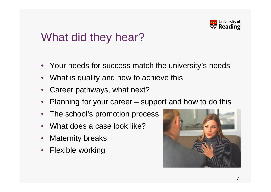

### What did they hear?

- Your needs for success match the university's needs
- What is quality and how to achieve this
- Career pathways, what next?
- Planning for your career support and how to do this
- The school's promotion process
- What does a case look like?
- **Maternity breaks**
- Flexible working

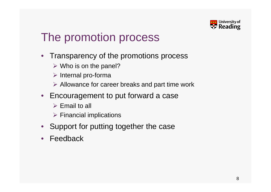

## The promotion process

- Transparency of the promotions process
	- $\triangleright$  Who is on the panel?
	- $\triangleright$  Internal pro-forma
	- $\triangleright$  Allowance for career breaks and part time work
- Encouragement to put forward a case
	- $\triangleright$  Email to all
	- $\triangleright$  Financial implications
- Support for putting together the case
- **Feedback**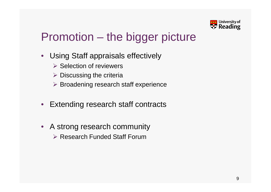

# Promotion – the bigger picture

- Using Staff appraisals effectively
	- $\triangleright$  Selection of reviewers
	- $\triangleright$  Discussing the criteria
	- $\triangleright$  Broadening research staff experience
- Extending research staff contracts
- A strong research community ▶ Research Funded Staff Forum